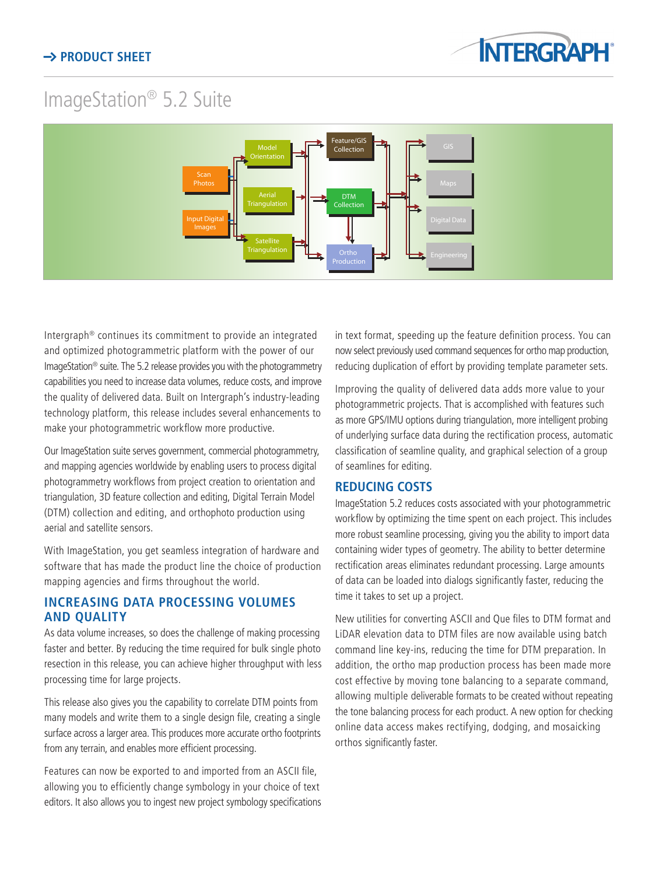

# ImageStation® 5.2 Suite



Intergraph® continues its commitment to provide an integrated and optimized photogrammetric platform with the power of our ImageStation® suite. The 5.2 release provides you with the photogrammetry capabilities you need to increase data volumes, reduce costs, and improve the quality of delivered data. Built on Intergraph's industry-leading technology platform, this release includes several enhancements to make your photogrammetric workflow more productive.

Our ImageStation suite serves government, commercial photogrammetry, and mapping agencies worldwide by enabling users to process digital photogrammetry workflows from project creation to orientation and triangulation, 3D feature collection and editing, Digital Terrain Model (DTM) collection and editing, and orthophoto production using aerial and satellite sensors.

With ImageStation, you get seamless integration of hardware and software that has made the product line the choice of production mapping agencies and firms throughout the world.

## **INCREASING DATA PROCESSING VOLUMES AND QUALITY**

As data volume increases, so does the challenge of making processing faster and better. By reducing the time required for bulk single photo resection in this release, you can achieve higher throughput with less processing time for large projects.

This release also gives you the capability to correlate DTM points from many models and write them to a single design file, creating a single surface across a larger area. This produces more accurate ortho footprints from any terrain, and enables more efficient processing.

Features can now be exported to and imported from an ASCII file, allowing you to efficiently change symbology in your choice of text editors. It also allows you to ingest new project symbology specifications in text format, speeding up the feature definition process. You can now select previously used command sequences for ortho map production, reducing duplication of effort by providing template parameter sets.

Improving the quality of delivered data adds more value to your photogrammetric projects. That is accomplished with features such as more GPS/IMU options during triangulation, more intelligent probing of underlying surface data during the rectification process, automatic classification of seamline quality, and graphical selection of a group of seamlines for editing.

## **REDUCING COSTS**

ImageStation 5.2 reduces costs associated with your photogrammetric workflow by optimizing the time spent on each project. This includes more robust seamline processing, giving you the ability to import data containing wider types of geometry. The ability to better determine rectification areas eliminates redundant processing. Large amounts of data can be loaded into dialogs significantly faster, reducing the time it takes to set up a project.

New utilities for converting ASCII and Que files to DTM format and LiDAR elevation data to DTM files are now available using batch command line key-ins, reducing the time for DTM preparation. In addition, the ortho map production process has been made more cost effective by moving tone balancing to a separate command, allowing multiple deliverable formats to be created without repeating the tone balancing process for each product. A new option for checking online data access makes rectifying, dodging, and mosaicking orthos significantly faster.